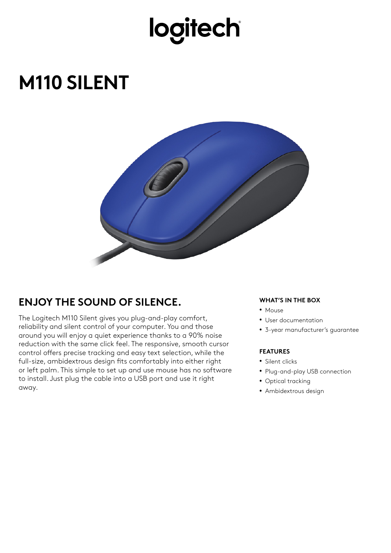## logitech

### **M110 SILENT**



### **ENJOY THE SOUND OF SILENCE.**

The Logitech M110 Silent gives you plug-and-play comfort, reliability and silent control of your computer. You and those around you will enjoy a quiet experience thanks to a 90% noise reduction with the same click feel. The responsive, smooth cursor control offers precise tracking and easy text selection, while the full-size, ambidextrous design fits comfortably into either right or left palm. This simple to set up and use mouse has no software to install. Just plug the cable into a USB port and use it right away.

#### **WHAT'S IN THE BOX**

- Mouse
- User documentation
- 3-year manufacturer's guarantee

#### **FEATURES**

- Silent clicks
- Plug-and-play USB connection
- Optical tracking
- Ambidextrous design